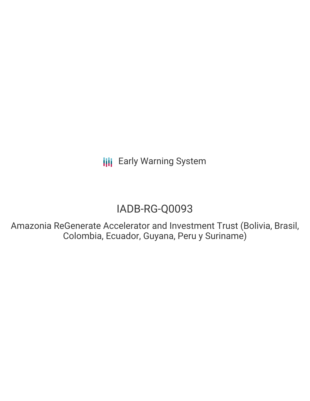**III** Early Warning System

# IADB-RG-Q0093

Amazonia ReGenerate Accelerator and Investment Trust (Bolivia, Brasil, Colombia, Ecuador, Guyana, Peru y Suriname)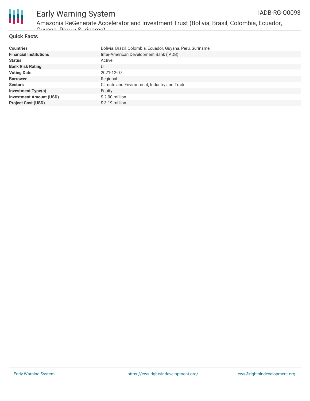

Amazonia ReGenerate Accelerator and Investment Trust (Bolivia, Brasil, Colombia, Ecuador,

Guyana, Peru y Suriname)

#### **Quick Facts**

| <b>Countries</b>               | Bolivia, Brazil, Colombia, Ecuador, Guyana, Peru, Suriname |
|--------------------------------|------------------------------------------------------------|
| <b>Financial Institutions</b>  | Inter-American Development Bank (IADB)                     |
| <b>Status</b>                  | Active                                                     |
| <b>Bank Risk Rating</b>        | U                                                          |
| <b>Voting Date</b>             | 2021-12-07                                                 |
| <b>Borrower</b>                | Regional                                                   |
| <b>Sectors</b>                 | Climate and Environment, Industry and Trade                |
| <b>Investment Type(s)</b>      | Equity                                                     |
| <b>Investment Amount (USD)</b> | $$2.00$ million                                            |
| <b>Project Cost (USD)</b>      | $$3.19$ million                                            |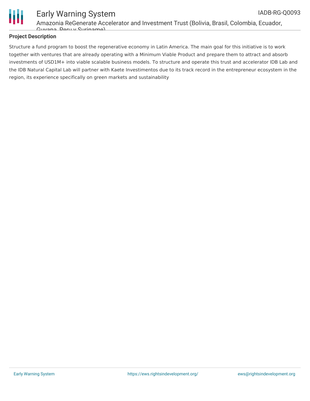

#### **Project Description**

Guyana, Peru y Suriname)

Structure a fund program to boost the regenerative economy in Latin America. The main goal for this initiative is to work together with ventures that are already operating with a Minimum Viable Product and prepare them to attract and absorb investments of USD1M+ into viable scalable business models. To structure and operate this trust and accelerator IDB Lab and the IDB Natural Capital Lab will partner with Kaete Investimentos due to its track record in the entrepreneur ecosystem in the region, its experience specifically on green markets and sustainability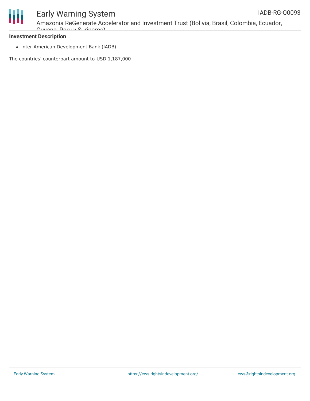

### Early Warning System Amazonia ReGenerate Accelerator and Investment Trust (Bolivia, Brasil, Colombia, Ecuador, Guyana, Peru y Suriname)

#### **Investment Description**

• Inter-American Development Bank (IADB)

The countries' counterpart amount to USD 1,187,000 .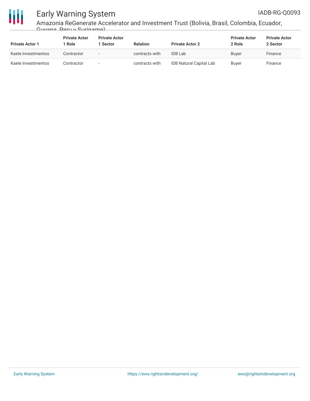

## Early Warning System

Amazonia ReGenerate Accelerator and Investment Trust (Bolivia, Brasil, Colombia, Ecuador, Guyana, Peru y Suriname)

| <b>Private Actor 1</b> | <b>Private Actor</b><br>Role | <b>Private Actor</b><br>1 Sector | <b>Relation</b> | <b>Private Actor 2</b>         | <b>Private Actor</b><br>2 Role | <b>Private Actor</b><br>2 Sector |
|------------------------|------------------------------|----------------------------------|-----------------|--------------------------------|--------------------------------|----------------------------------|
| Kaete Investimentos    | Contractor                   | $\overline{\phantom{a}}$         | contracts with  | <b>IDB</b> Lab                 | <b>Buver</b>                   | Finance                          |
| Kaete Investimentos    | Contractor                   | $\overline{\phantom{a}}$         | contracts with  | <b>IDB Natural Capital Lab</b> | Buyer                          | Finance                          |